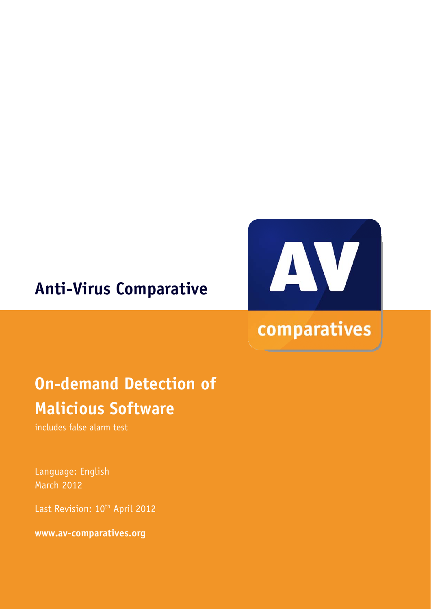### **Anti-Virus Comparative**



# comparatives

## **On-demand Detection of Malicious Software**

includes false alarm test

Language: English March 2012

Last Revision: 10<sup>th</sup> April 2012

**www.av-comparatives.org**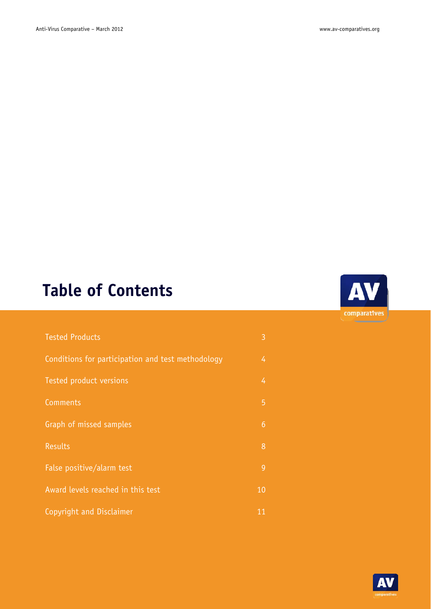### **Table of Contents**

| <b>Tested Products</b>                            | 3              |
|---------------------------------------------------|----------------|
| Conditions for participation and test methodology | 4              |
| Tested product versions                           | 4              |
| Comments                                          | 5              |
| Graph of missed samples                           | $6\phantom{1}$ |
| <b>Results</b>                                    | 8              |
| False positive/alarm test                         | 9              |
| Award levels reached in this test                 | 10             |
| Copyright and Disclaimer                          | 11             |



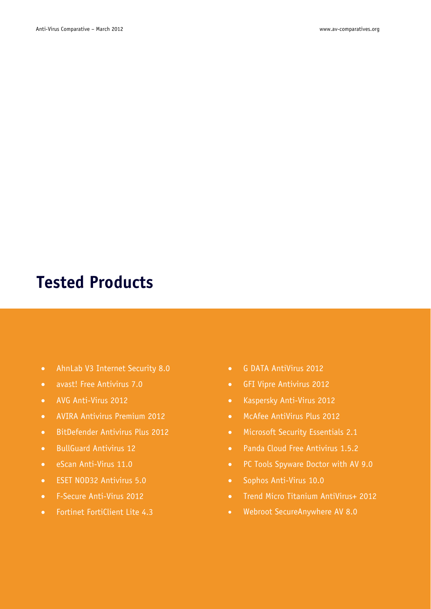### **Tested Products**

- AhnLab V3 Internet Security 8.0
- avast! Free Antivirus 7.0
- AVG Anti-Virus 2012
- AVIRA Antivirus Premium 2012
- BitDefender Antivirus Plus 2012
- **BullGuard Antivirus 12**
- eScan Anti-Virus 11.0
- ESET NOD32 Antivirus 5.0
- F-Secure Anti-Virus 2012
- Fortinet FortiClient Lite 4.3
- G DATA AntiVirus 2012
- GFI Vipre Antivirus 2012
- Kaspersky Anti-Virus 2012
- McAfee AntiVirus Plus 2012
- Microsoft Security Essentials 2.1
- Panda Cloud Free Antivirus 1.5.2
- PC Tools Spyware Doctor with AV 9.0
- Sophos Anti-Virus 10.0
- Trend Micro Titanium AntiVirus+ 2012
- Webroot SecureAnywhere AV 8.0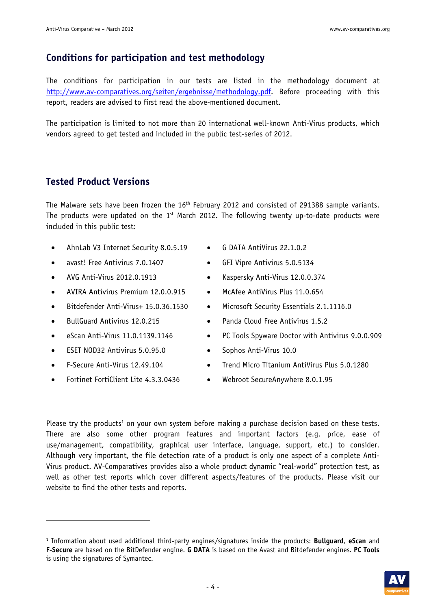#### **Conditions for participation and test methodology**

The conditions for participation in our tests are listed in the methodology document at http://www.av-comparatives.org/seiten/ergebnisse/methodology.pdf. Before proceeding with this report, readers are advised to first read the above-mentioned document.

The participation is limited to not more than 20 international well-known Anti-Virus products, which vendors agreed to get tested and included in the public test-series of 2012.

#### **Tested Product Versions**

The Malware sets have been frozen the 16<sup>th</sup> February 2012 and consisted of 291388 sample variants. The products were updated on the  $1<sup>st</sup>$  March 2012. The following twenty up-to-date products were included in this public test:

- AhnLab V3 Internet Security 8.0.5.19
- avast! Free Antivirus 7.0.1407
- AVG Anti-Virus 2012.0.1913
- AVIRA Antivirus Premium 12.0.0.915
- Bitdefender Anti-Virus+ 15.0.36.1530
- BullGuard Antivirus 12.0.215
- $\bullet$  eScan Anti-Virus 11.0.1139.1146
- ESET NOD32 Antivirus 5.0.95.0
- F-Secure Anti-Virus 12.49.104

-

Fortinet FortiClient Lite 4.3.3.0436

- G DATA AntiVirus 22.1.0.2
- GFI Vipre Antivirus 5.0.5134
- Kaspersky Anti-Virus 12.0.0.374
- McAfee AntiVirus Plus 11.0.654
- Microsoft Security Essentials 2.1.1116.0
- Panda Cloud Free Antivirus 1.5.2
- PC Tools Spyware Doctor with Antivirus 9.0.0.909
- Sophos Anti-Virus 10.0
- Trend Micro Titanium AntiVirus Plus 5.0.1280
- Webroot SecureAnywhere 8.0.1.95

Please try the products<sup>1</sup> on your own system before making a purchase decision based on these tests. There are also some other program features and important factors (e.g. price, ease of use/management, compatibility, graphical user interface, language, support, etc.) to consider. Although very important, the file detection rate of a product is only one aspect of a complete Anti-Virus product. AV-Comparatives provides also a whole product dynamic "real-world" protection test, as well as other test reports which cover different aspects/features of the products. Please visit our website to find the other tests and reports.

<sup>1</sup> Information about used additional third-party engines/signatures inside the products: **Bullguard**, **eScan** and **F-Secure** are based on the BitDefender engine. **G DATA** is based on the Avast and Bitdefender engines. **PC Tools** is using the signatures of Symantec.

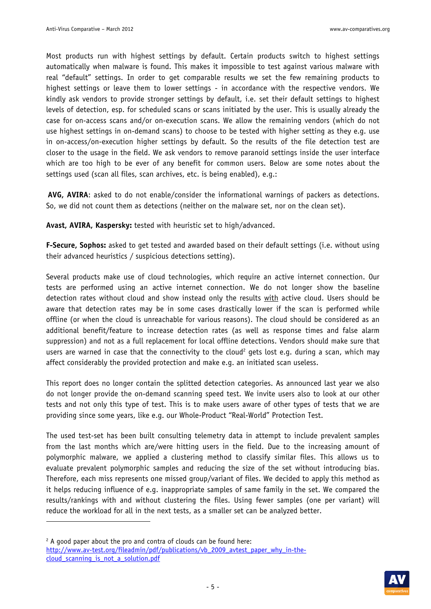Most products run with highest settings by default. Certain products switch to highest settings automatically when malware is found. This makes it impossible to test against various malware with real "default" settings. In order to get comparable results we set the few remaining products to highest settings or leave them to lower settings - in accordance with the respective vendors. We kindly ask vendors to provide stronger settings by default, i.e. set their default settings to highest levels of detection, esp. for scheduled scans or scans initiated by the user. This is usually already the case for on-access scans and/or on-execution scans. We allow the remaining vendors (which do not use highest settings in on-demand scans) to choose to be tested with higher setting as they e.g. use in on-access/on-execution higher settings by default. So the results of the file detection test are closer to the usage in the field. We ask vendors to remove paranoid settings inside the user interface which are too high to be ever of any benefit for common users. Below are some notes about the settings used (scan all files, scan archives, etc. is being enabled), e.g.:

**AVG, AVIRA**: asked to do not enable/consider the informational warnings of packers as detections. So, we did not count them as detections (neither on the malware set, nor on the clean set).

**Avast, AVIRA, Kaspersky:** tested with heuristic set to high/advanced.

**F-Secure, Sophos:** asked to get tested and awarded based on their default settings (i.e. without using their advanced heuristics / suspicious detections setting).

Several products make use of cloud technologies, which require an active internet connection. Our tests are performed using an active internet connection. We do not longer show the baseline detection rates without cloud and show instead only the results with active cloud. Users should be aware that detection rates may be in some cases drastically lower if the scan is performed while offline (or when the cloud is unreachable for various reasons). The cloud should be considered as an additional benefit/feature to increase detection rates (as well as response times and false alarm suppression) and not as a full replacement for local offline detections. Vendors should make sure that users are warned in case that the connectivity to the cloud<sup>2</sup> gets lost e.g. during a scan, which may affect considerably the provided protection and make e.g. an initiated scan useless.

This report does no longer contain the splitted detection categories. As announced last year we also do not longer provide the on-demand scanning speed test. We invite users also to look at our other tests and not only this type of test. This is to make users aware of other types of tests that we are providing since some years, like e.g. our Whole-Product "Real-World" Protection Test.

The used test-set has been built consulting telemetry data in attempt to include prevalent samples from the last months which are/were hitting users in the field. Due to the increasing amount of polymorphic malware, we applied a clustering method to classify similar files. This allows us to evaluate prevalent polymorphic samples and reducing the size of the set without introducing bias. Therefore, each miss represents one missed group/variant of files. We decided to apply this method as it helps reducing influence of e.g. inappropriate samples of same family in the set. We compared the results/rankings with and without clustering the files. Using fewer samples (one per variant) will reduce the workload for all in the next tests, as a smaller set can be analyzed better.

-



 $2$  A good paper about the pro and contra of clouds can be found here: http://www.av-test.org/fileadmin/pdf/publications/vb\_2009\_avtest\_paper\_why\_in-thecloud scanning is not a solution.pdf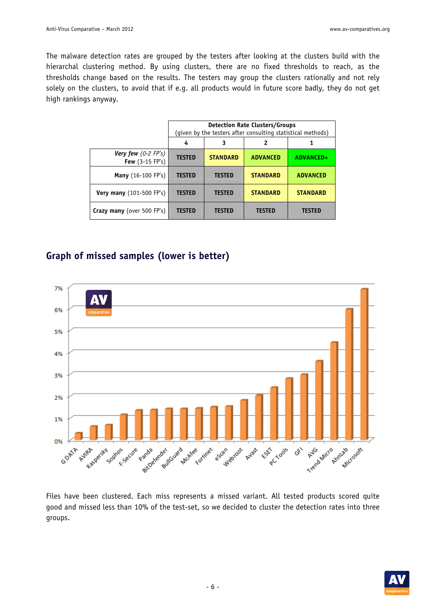The malware detection rates are grouped by the testers after looking at the clusters build with the hierarchal clustering method. By using clusters, there are no fixed thresholds to reach, as the thresholds change based on the results. The testers may group the clusters rationally and not rely solely on the clusters, to avoid that if e.g. all products would in future score badly, they do not get high rankings anyway.

|                                                 | <b>Detection Rate Clusters/Groups</b><br>(given by the testers after consulting statistical methods) |                 |                 |                 |
|-------------------------------------------------|------------------------------------------------------------------------------------------------------|-----------------|-----------------|-----------------|
|                                                 | 4                                                                                                    | 3               | 2               |                 |
| <b>Very few</b> $(0-2$ FP's)<br>Few (3-15 FP's) | <b>TESTED</b>                                                                                        | <b>STANDARD</b> | <b>ADVANCED</b> | ADVANCED+       |
| <b>Many</b> (16-100 FP's)                       | <b>TESTED</b>                                                                                        | <b>TESTED</b>   | <b>STANDARD</b> | <b>ADVANCED</b> |
| Very many (101-500 FP's)                        | <b>TESTED</b>                                                                                        | <b>TESTED</b>   | <b>STANDARD</b> | <b>STANDARD</b> |
| Crazy many (over 500 FP's)                      | <b>TESTED</b>                                                                                        | <b>TESTED</b>   | <b>TESTED</b>   | <b>TESTED</b>   |

#### **Graph of missed samples (lower is better)**



Files have been clustered. Each miss represents a missed variant. All tested products scored quite good and missed less than 10% of the test-set, so we decided to cluster the detection rates into three groups.

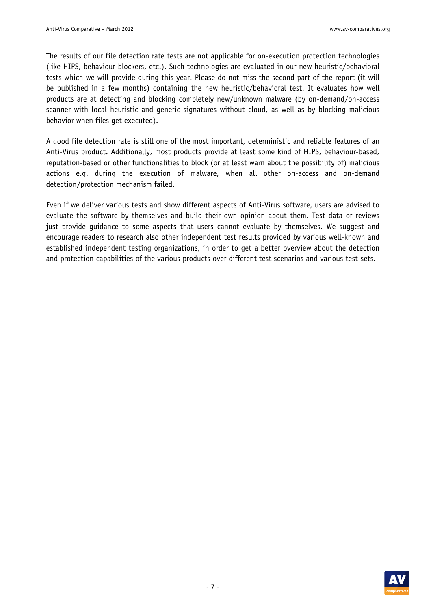The results of our file detection rate tests are not applicable for on-execution protection technologies (like HIPS, behaviour blockers, etc.). Such technologies are evaluated in our new heuristic/behavioral tests which we will provide during this year. Please do not miss the second part of the report (it will be published in a few months) containing the new heuristic/behavioral test. It evaluates how well products are at detecting and blocking completely new/unknown malware (by on-demand/on-access scanner with local heuristic and generic signatures without cloud, as well as by blocking malicious behavior when files get executed).

A good file detection rate is still one of the most important, deterministic and reliable features of an Anti-Virus product. Additionally, most products provide at least some kind of HIPS, behaviour-based, reputation-based or other functionalities to block (or at least warn about the possibility of) malicious actions e.g. during the execution of malware, when all other on-access and on-demand detection/protection mechanism failed.

Even if we deliver various tests and show different aspects of Anti-Virus software, users are advised to evaluate the software by themselves and build their own opinion about them. Test data or reviews just provide guidance to some aspects that users cannot evaluate by themselves. We suggest and encourage readers to research also other independent test results provided by various well-known and established independent testing organizations, in order to get a better overview about the detection and protection capabilities of the various products over different test scenarios and various test-sets.

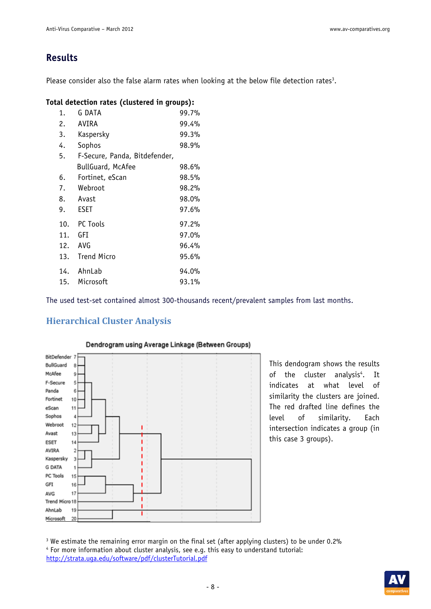#### **Results**

Please consider also the false alarm rates when looking at the below file detection rates<sup>3</sup>.

#### **Total detection rates (clustered in groups):**

| 1.  | G DATA                        | 99.7% |
|-----|-------------------------------|-------|
| 2.  | AVIRA                         | 99.4% |
| 3.  | Kaspersky                     | 99.3% |
| 4.  | Sophos                        | 98.9% |
| 5.  | F-Secure, Panda, Bitdefender, |       |
|     | <b>BullGuard, McAfee</b>      | 98.6% |
| 6.  | Fortinet, eScan               | 98.5% |
| 7.  | Webroot                       | 98.2% |
| 8.  | Avast                         | 98.0% |
| 9.  | <b>ESET</b>                   | 97.6% |
| 10. | PC Tools                      | 97.2% |
| 11. | GFI                           | 97.0% |
| 12. | AVG                           | 96.4% |
| 13. | <b>Trend Micro</b>            | 95.6% |
| 14. | AhnLab                        | 94.0% |
| 15. | Microsoft                     | 93.1% |

The used test-set contained almost 300-thousands recent/prevalent samples from last months.

#### **Hierarchical Cluster Analysis**



#### Dendrogram using Average Linkage (Between Groups)

This dendogram shows the results of the cluster analysis<sup>4</sup>. . It indicates at what level of similarity the clusters are joined. The red drafted line defines the level of similarity. Each intersection indicates a group (in this case 3 groups).

<sup>3</sup> We estimate the remaining error margin on the final set (after applying clusters) to be under 0.2%  $\frac{4}{100}$ <br><sup>4</sup> For more information about cluster analysis, see e.g. this easy to understand tutorial: For more information about cluster analysis, see e.g. this easy to understand tutorial: http://strata.uga.edu/software/pdf/clusterTutorial.pdf

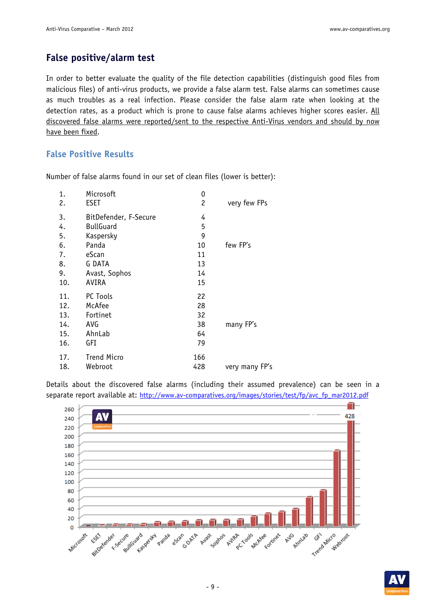### **False positive/alarm test**

In order to better evaluate the quality of the file detection capabilities (distinguish good files from malicious files) of anti-virus products, we provide a false alarm test. False alarms can sometimes cause as much troubles as a real infection. Please consider the false alarm rate when looking at the detection rates, as a product which is prone to cause false alarms achieves higher scores easier. All discovered false alarms were reported/sent to the respective Anti-Virus vendors and should by now have been fixed.

#### **False Positive Results**

| 1.  | Microsoft             | 0              |                |
|-----|-----------------------|----------------|----------------|
| 2.  | <b>ESET</b>           | $\overline{c}$ | very few FPs   |
| 3.  | BitDefender, F-Secure | 4              |                |
| 4.  | <b>BullGuard</b>      | 5              |                |
| 5.  | Kaspersky             | 9              |                |
| 6.  | Panda                 | 10             | few FP's       |
| 7.  | eScan                 | 11             |                |
| 8.  | G DATA                | 13             |                |
| 9.  | Avast, Sophos         | 14             |                |
| 10. | AVIRA                 | 15             |                |
| 11. | PC Tools              | 22             |                |
| 12. | McAfee                | 28             |                |
| 13. | Fortinet              | 32             |                |
| 14. | AVG                   | 38             | many FP's      |
| 15. | AhnLab                | 64             |                |
| 16. | GFI                   | 79             |                |
| 17. | <b>Trend Micro</b>    | 166            |                |
| 18. | Webroot               | 428            | very many FP's |
|     |                       |                |                |

Number of false alarms found in our set of clean files (lower is better):

Details about the discovered false alarms (including their assumed prevalence) can be seen in a separate report available at: http://www.av-comparatives.org/images/stories/test/fp/avc\_fp\_mar2012.pdf



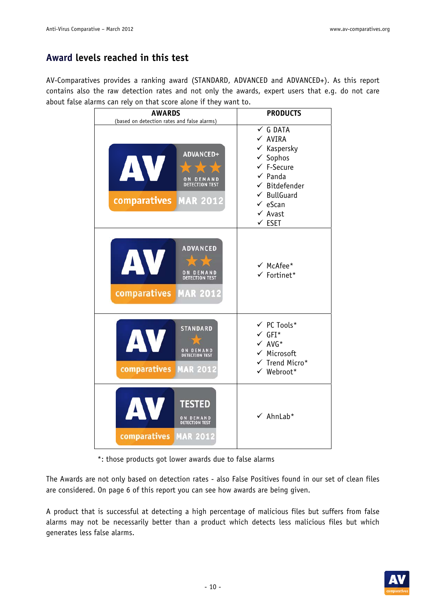### **Award levels reached in this test**

AV-Comparatives provides a ranking award (STANDARD, ADVANCED and ADVANCED+). As this report contains also the raw detection rates and not only the awards, expert users that e.g. do not care about false alarms can rely on that score alone if they want to.

| <b>AWARDS</b><br>(based on detection rates and false alarms)                                  | <b>PRODUCTS</b>                                                                                                                                                                                                                               |
|-----------------------------------------------------------------------------------------------|-----------------------------------------------------------------------------------------------------------------------------------------------------------------------------------------------------------------------------------------------|
| ADVANCED+<br>AV<br>ON DEMAND<br>DETECTION TEST<br><b>comparatives MAR 2012</b>                | $\checkmark$ G DATA<br>$\times$ AVIRA<br>$\checkmark$ Kaspersky<br>$\checkmark$ Sophos<br>$\checkmark$ F-Secure<br>$\checkmark$ Panda<br>$\checkmark$ Bitdefender<br>$\checkmark$ BullGuard<br>$\checkmark$ eScan<br>✔ Avast<br>$\times$ ESET |
| <b>ADVANCED</b><br>AV<br>大大<br>ON DEMAND<br>DETECTION TEST<br>comparatives<br><b>MAR 2012</b> | $\checkmark$ McAfee*<br>$\checkmark$ Fortinet*                                                                                                                                                                                                |
| <b>STANDARD</b><br>AV<br>ON DEMAND<br>DETECTION TEST<br>comparatives<br><b>MAR 2012</b>       | $\checkmark$ PC Tools*<br>$\checkmark$ GFI*<br>$\checkmark$ AVG*<br>$\checkmark$ Microsoft<br>$\checkmark$ Trend Micro*<br>$\checkmark$ Webroot*                                                                                              |
| AV<br><b>TESTED</b><br>ON DEMAND<br>DETECTION TEST<br>comparatives<br><b>MAR 2012</b>         | $\checkmark$ AhnLab*                                                                                                                                                                                                                          |

\*: those products got lower awards due to false alarms

The Awards are not only based on detection rates - also False Positives found in our set of clean files are considered. On page 6 of this report you can see how awards are being given.

A product that is successful at detecting a high percentage of malicious files but suffers from false alarms may not be necessarily better than a product which detects less malicious files but which generates less false alarms.

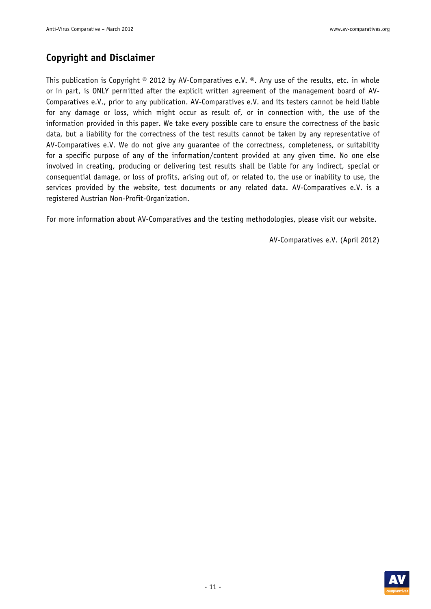### **Copyright and Disclaimer**

This publication is Copyright  $\circ$  2012 by AV-Comparatives e.V.  $\circ$ . Any use of the results, etc. in whole or in part, is ONLY permitted after the explicit written agreement of the management board of AV-Comparatives e.V., prior to any publication. AV-Comparatives e.V. and its testers cannot be held liable for any damage or loss, which might occur as result of, or in connection with, the use of the information provided in this paper. We take every possible care to ensure the correctness of the basic data, but a liability for the correctness of the test results cannot be taken by any representative of AV-Comparatives e.V. We do not give any guarantee of the correctness, completeness, or suitability for a specific purpose of any of the information/content provided at any given time. No one else involved in creating, producing or delivering test results shall be liable for any indirect, special or consequential damage, or loss of profits, arising out of, or related to, the use or inability to use, the services provided by the website, test documents or any related data. AV-Comparatives e.V. is a registered Austrian Non-Profit-Organization.

For more information about AV-Comparatives and the testing methodologies, please visit our website.

AV-Comparatives e.V. (April 2012)